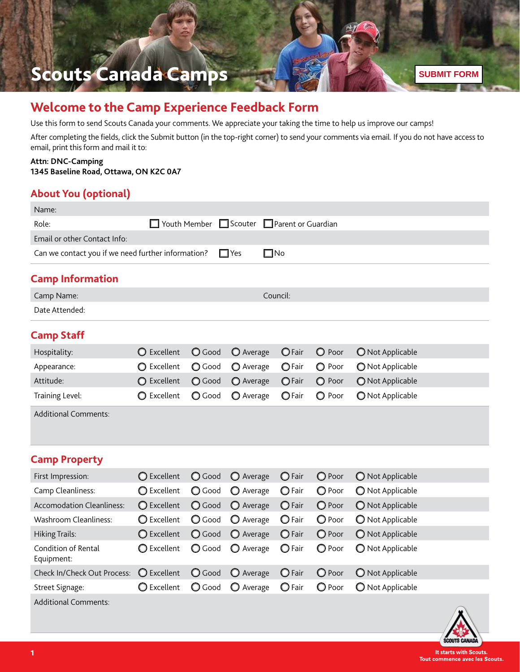# Scouts Canada Camps

# **Welcome to the Camp Experience Feedback Form**

Use this form to send Scouts Canada your comments. We appreciate your taking the time to help us improve our camps!

After completing the fields, click the Submit button (in the top-right corner) to send your comments via email. If you do not have access to email, print this form and mail it to:

#### **Attn: DNC-Camping 1345 Baseline Road, Ottawa, ON K2C 0A7**

#### **About You (optional)**

| Name:                                                                            |                      |               |                    |                           |        |                  |  |  |
|----------------------------------------------------------------------------------|----------------------|---------------|--------------------|---------------------------|--------|------------------|--|--|
| Role:                                                                            | $\Box$ Youth Member  |               | $\Box$ Scouter     | $\Box$ Parent or Guardian |        |                  |  |  |
| Email or other Contact Info:                                                     |                      |               |                    |                           |        |                  |  |  |
| Can we contact you if we need further information?<br>$\square$ No<br>$\Box$ Yes |                      |               |                    |                           |        |                  |  |  |
| <b>Camp Information</b>                                                          |                      |               |                    |                           |        |                  |  |  |
| Camp Name:                                                                       |                      |               |                    | Council:                  |        |                  |  |  |
| Date Attended:                                                                   |                      |               |                    |                           |        |                  |  |  |
| <b>Camp Staff</b>                                                                |                      |               |                    |                           |        |                  |  |  |
| Hospitality:                                                                     | <b>O</b> Excellent   | O Good        | O Average          | OFair                     | O Poor | O Not Applicable |  |  |
| Appearance:                                                                      | ◯ Excellent          | O Good        | O Average          | OFair                     | O Poor | O Not Applicable |  |  |
| Attitude:                                                                        | ◯ Excellent          | O Good        | O Average          | $O$ Fair                  | O Poor | Not Applicable   |  |  |
| Training Level:                                                                  | ◯ Excellent          | O Good        | O Average          | <b>O</b> Fair             | O Poor | O Not Applicable |  |  |
| <b>Additional Comments:</b>                                                      |                      |               |                    |                           |        |                  |  |  |
| <b>Camp Property</b>                                                             |                      |               |                    |                           |        |                  |  |  |
| First Impression:                                                                | ◯ Excellent          | O Good        | O Average          | $\bigcirc$ Fair           | O Poor | Not Applicable   |  |  |
| Camp Cleanliness:                                                                | ◯ Excellent          | <b>O</b> Good | O Average          | $\bigcirc$ Fair           | O Poor | Not Applicable   |  |  |
| <b>Accomodation Cleanliness:</b>                                                 | ◯ Excellent          | O Good        | $\bigcirc$ Average | $\bigcirc$ Fair           | O Poor | Not Applicable   |  |  |
| <b>Washroom Cleanliness:</b>                                                     | ◯ Excellent          | <b>O</b> Good | O Average          | $\bigcirc$ Fair           | O Poor | Not Applicable   |  |  |
| <b>Hiking Trails:</b>                                                            | ◯ Excellent          | O Good        | $\bigcirc$ Average | $\bigcirc$ Fair           | O Poor | O Not Applicable |  |  |
| Condition of Rental<br>Equipment:                                                | ◯ Excellent          | <b>Q</b> Good | O Average          | <b>O</b> Fair             | O Poor | Not Applicable   |  |  |
| Check In/Check Out Process:                                                      | $\bigcirc$ Excellent | O Good        | $\bigcirc$ Average | $\bigcirc$ Fair           | O Poor | Not Applicable   |  |  |
| Street Signage:                                                                  | C Excellent          | <b>O</b> Good | O Average          | $\bigcirc$ Fair           | O Poor | O Not Applicable |  |  |
| <b>Additional Comments:</b>                                                      |                      |               |                    |                           |        |                  |  |  |